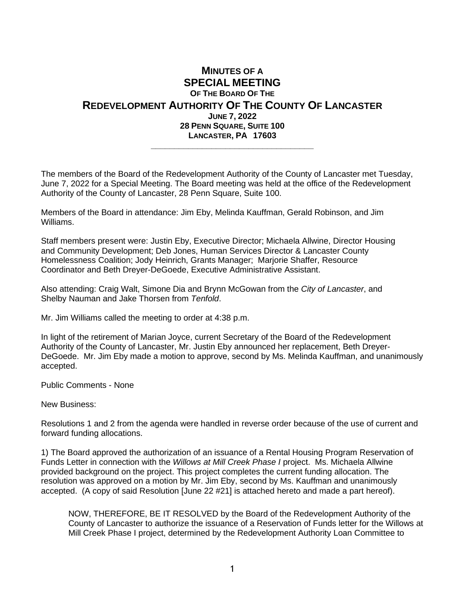## **MINUTES OF A SPECIAL MEETING OF THE BOARD OF THE REDEVELOPMENT AUTHORITY OF THE COUNTY OF LANCASTER JUNE 7, 2022 28 PENN SQUARE, SUITE 100 LANCASTER, PA 17603 \_\_\_\_\_\_\_\_\_\_\_\_\_\_\_\_\_\_\_\_\_\_\_\_\_\_\_\_\_\_\_\_\_\_\_**

The members of the Board of the Redevelopment Authority of the County of Lancaster met Tuesday, June 7, 2022 for a Special Meeting. The Board meeting was held at the office of the Redevelopment Authority of the County of Lancaster, 28 Penn Square, Suite 100.

Members of the Board in attendance: Jim Eby, Melinda Kauffman, Gerald Robinson, and Jim Williams.

Staff members present were: Justin Eby, Executive Director; Michaela Allwine, Director Housing and Community Development; Deb Jones, Human Services Director & Lancaster County Homelessness Coalition; Jody Heinrich, Grants Manager; Marjorie Shaffer, Resource Coordinator and Beth Dreyer-DeGoede, Executive Administrative Assistant.

Also attending: Craig Walt, Simone Dia and Brynn McGowan from the *City of Lancaster*, and Shelby Nauman and Jake Thorsen from *Tenfold*.

Mr. Jim Williams called the meeting to order at 4:38 p.m.

In light of the retirement of Marian Joyce, current Secretary of the Board of the Redevelopment Authority of the County of Lancaster, Mr. Justin Eby announced her replacement, Beth Dreyer-DeGoede. Mr. Jim Eby made a motion to approve, second by Ms. Melinda Kauffman, and unanimously accepted.

Public Comments - None

New Business:

Resolutions 1 and 2 from the agenda were handled in reverse order because of the use of current and forward funding allocations.

1) The Board approved the authorization of an issuance of a Rental Housing Program Reservation of Funds Letter in connection with the *Willows at Mill Creek Phase I* project. Ms. Michaela Allwine provided background on the project. This project completes the current funding allocation. The resolution was approved on a motion by Mr. Jim Eby, second by Ms. Kauffman and unanimously accepted. (A copy of said Resolution [June 22 #21] is attached hereto and made a part hereof).

NOW, THEREFORE, BE IT RESOLVED by the Board of the Redevelopment Authority of the County of Lancaster to authorize the issuance of a Reservation of Funds letter for the Willows at Mill Creek Phase I project, determined by the Redevelopment Authority Loan Committee to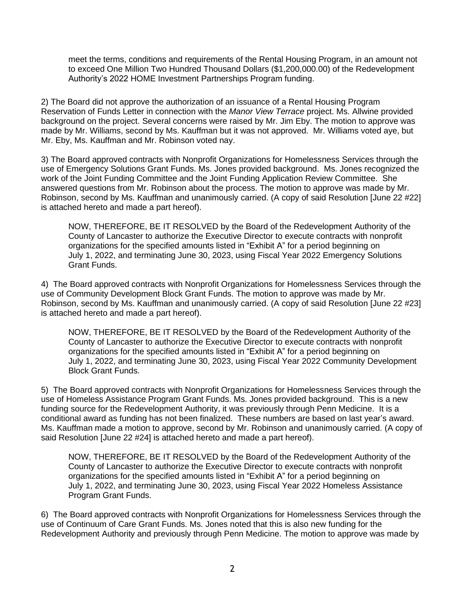meet the terms, conditions and requirements of the Rental Housing Program, in an amount not to exceed One Million Two Hundred Thousand Dollars (\$1,200,000.00) of the Redevelopment Authority's 2022 HOME Investment Partnerships Program funding.

2) The Board did not approve the authorization of an issuance of a Rental Housing Program Reservation of Funds Letter in connection with the *Manor View Terrace* project. Ms. Allwine provided background on the project. Several concerns were raised by Mr. Jim Eby. The motion to approve was made by Mr. Williams, second by Ms. Kauffman but it was not approved. Mr. Williams voted aye, but Mr. Eby, Ms. Kauffman and Mr. Robinson voted nay.

3) The Board approved contracts with Nonprofit Organizations for Homelessness Services through the use of Emergency Solutions Grant Funds. Ms. Jones provided background. Ms. Jones recognized the work of the Joint Funding Committee and the Joint Funding Application Review Committee. She answered questions from Mr. Robinson about the process. The motion to approve was made by Mr. Robinson, second by Ms. Kauffman and unanimously carried. (A copy of said Resolution [June 22 #22] is attached hereto and made a part hereof).

NOW, THEREFORE, BE IT RESOLVED by the Board of the Redevelopment Authority of the County of Lancaster to authorize the Executive Director to execute contracts with nonprofit organizations for the specified amounts listed in "Exhibit A" for a period beginning on July 1, 2022, and terminating June 30, 2023, using Fiscal Year 2022 Emergency Solutions Grant Funds.

4) The Board approved contracts with Nonprofit Organizations for Homelessness Services through the use of Community Development Block Grant Funds. The motion to approve was made by Mr. Robinson, second by Ms. Kauffman and unanimously carried. (A copy of said Resolution [June 22 #23] is attached hereto and made a part hereof).

NOW, THEREFORE, BE IT RESOLVED by the Board of the Redevelopment Authority of the County of Lancaster to authorize the Executive Director to execute contracts with nonprofit organizations for the specified amounts listed in "Exhibit A" for a period beginning on July 1, 2022, and terminating June 30, 2023, using Fiscal Year 2022 Community Development Block Grant Funds.

5) The Board approved contracts with Nonprofit Organizations for Homelessness Services through the use of Homeless Assistance Program Grant Funds. Ms. Jones provided background. This is a new funding source for the Redevelopment Authority, it was previously through Penn Medicine. It is a conditional award as funding has not been finalized. These numbers are based on last year's award. Ms. Kauffman made a motion to approve, second by Mr. Robinson and unanimously carried. (A copy of said Resolution [June 22 #24] is attached hereto and made a part hereof).

NOW, THEREFORE, BE IT RESOLVED by the Board of the Redevelopment Authority of the County of Lancaster to authorize the Executive Director to execute contracts with nonprofit organizations for the specified amounts listed in "Exhibit A" for a period beginning on July 1, 2022, and terminating June 30, 2023, using Fiscal Year 2022 Homeless Assistance Program Grant Funds.

6) The Board approved contracts with Nonprofit Organizations for Homelessness Services through the use of Continuum of Care Grant Funds. Ms. Jones noted that this is also new funding for the Redevelopment Authority and previously through Penn Medicine. The motion to approve was made by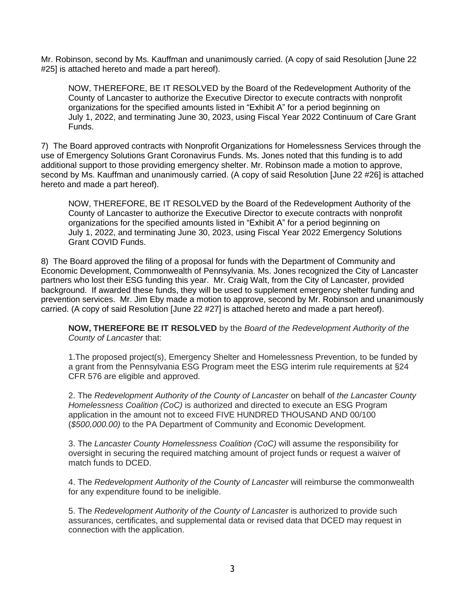Mr. Robinson, second by Ms. Kauffman and unanimously carried. (A copy of said Resolution [June 22 #25] is attached hereto and made a part hereof).

NOW, THEREFORE, BE IT RESOLVED by the Board of the Redevelopment Authority of the County of Lancaster to authorize the Executive Director to execute contracts with nonprofit organizations for the specified amounts listed in "Exhibit A" for a period beginning on July 1, 2022, and terminating June 30, 2023, using Fiscal Year 2022 Continuum of Care Grant Funds.

7) The Board approved contracts with Nonprofit Organizations for Homelessness Services through the use of Emergency Solutions Grant Coronavirus Funds. Ms. Jones noted that this funding is to add additional support to those providing emergency shelter. Mr. Robinson made a motion to approve, second by Ms. Kauffman and unanimously carried. (A copy of said Resolution [June 22 #26] is attached hereto and made a part hereof).

NOW, THEREFORE, BE IT RESOLVED by the Board of the Redevelopment Authority of the County of Lancaster to authorize the Executive Director to execute contracts with nonprofit organizations for the specified amounts listed in "Exhibit A" for a period beginning on July 1, 2022, and terminating June 30, 2023, using Fiscal Year 2022 Emergency Solutions Grant COVID Funds.

8) The Board approved the filing of a proposal for funds with the Department of Community and Economic Development, Commonwealth of Pennsylvania. Ms. Jones recognized the City of Lancaster partners who lost their ESG funding this year. Mr. Craig Walt, from the City of Lancaster, provided background. If awarded these funds, they will be used to supplement emergency shelter funding and prevention services. Mr. Jim Eby made a motion to approve, second by Mr. Robinson and unanimously carried. (A copy of said Resolution [June 22 #27] is attached hereto and made a part hereof).

**NOW, THEREFORE BE IT RESOLVED** by the *Board of the Redevelopment Authority of the County of Lancaster* that:

1.The proposed project(s), Emergency Shelter and Homelessness Prevention, to be funded by a grant from the Pennsylvania ESG Program meet the ESG interim rule requirements at §24 CFR 576 are eligible and approved.

2. The *Redevelopment Authority of the County of Lancaster* on behalf of *the Lancaster County Homelessness Coalition (CoC)* is authorized and directed to execute an ESG Program application in the amount not to exceed FIVE HUNDRED THOUSAND AND 00/100 (*\$500,000.00)* to the PA Department of Community and Economic Development.

3. The *Lancaster County Homelessness Coalition (CoC)* will assume the responsibility for oversight in securing the required matching amount of project funds or request a waiver of match funds to DCED.

4. The *Redevelopment Authority of the County of Lancaster* will reimburse the commonwealth for any expenditure found to be ineligible.

5. The *Redevelopment Authority of the County of Lancaster* is authorized to provide such assurances, certificates, and supplemental data or revised data that DCED may request in connection with the application.